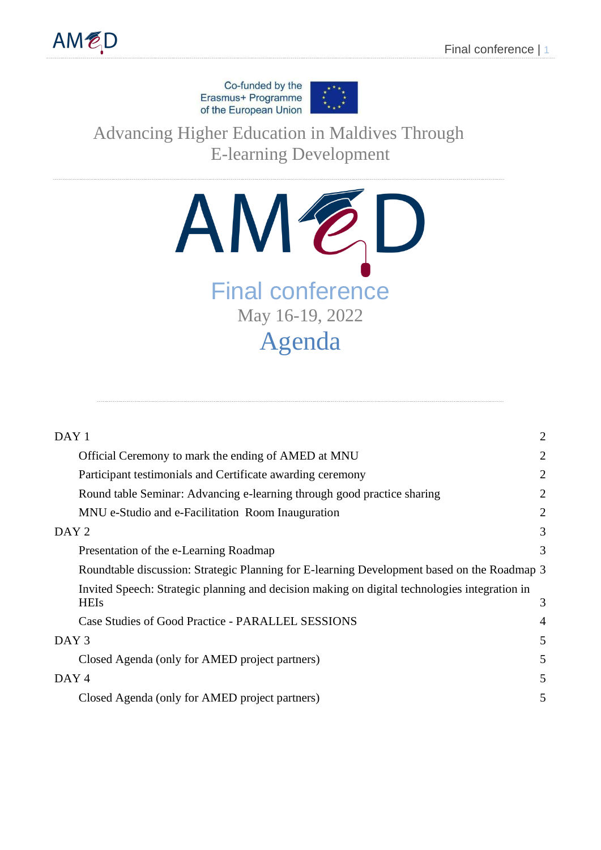Co-funded by the Erasmus+ Programme of the European Union



Advancing Higher Education in Maldives Through E-learning Development



| DAY 1                                                                                                        | $\overline{2}$ |
|--------------------------------------------------------------------------------------------------------------|----------------|
| Official Ceremony to mark the ending of AMED at MNU                                                          | $\overline{2}$ |
| Participant testimonials and Certificate awarding ceremony                                                   | $\overline{2}$ |
| Round table Seminar: Advancing e-learning through good practice sharing                                      | $\overline{2}$ |
| MNU e-Studio and e-Facilitation Room Inauguration                                                            | $\overline{2}$ |
| DAY <sub>2</sub>                                                                                             | 3              |
| Presentation of the e-Learning Roadmap                                                                       | 3              |
| Roundtable discussion: Strategic Planning for E-learning Development based on the Roadmap 3                  |                |
| Invited Speech: Strategic planning and decision making on digital technologies integration in<br><b>HEIs</b> | 3              |
| Case Studies of Good Practice - PARALLEL SESSIONS                                                            | $\overline{4}$ |
| DAY <sub>3</sub>                                                                                             | 5              |
| Closed Agenda (only for AMED project partners)                                                               | 5              |
| DAY <sub>4</sub>                                                                                             | 5              |
| Closed Agenda (only for AMED project partners)                                                               | 5              |
|                                                                                                              |                |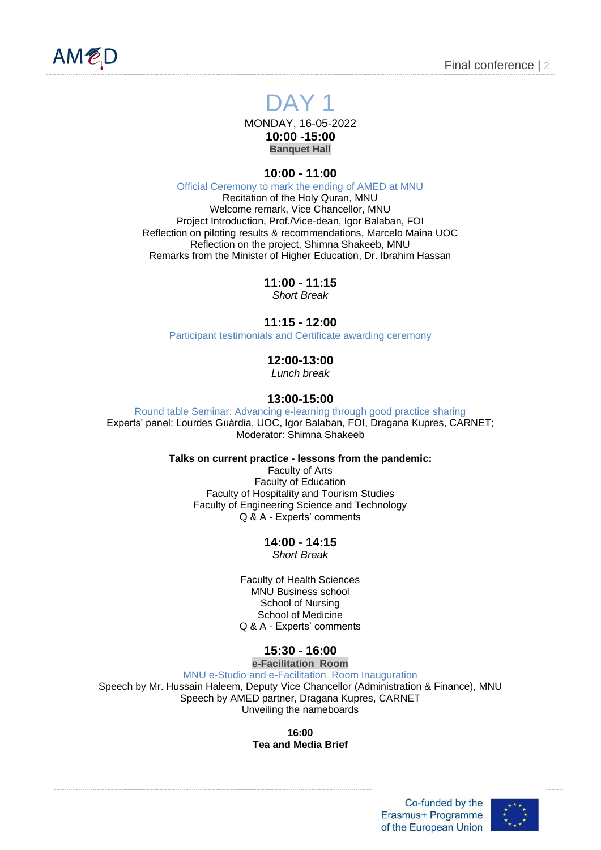

<span id="page-1-0"></span>

# DAY<sub>1</sub>

MONDAY, 16-05-2022 **10:00 -15:00 Banquet Hall**

# **10:00 - 11:00**

Official Ceremony to mark the ending of AMED at MNU

<span id="page-1-1"></span>Recitation of the Holy Quran, MNU Welcome remark, Vice Chancellor, MNU Project Introduction, Prof./Vice-dean, Igor Balaban, FOI Reflection on piloting results & recommendations, Marcelo Maina UOC Reflection on the project, Shimna Shakeeb, MNU Remarks from the Minister of Higher Education, Dr. Ibrahim Hassan

> **11:00 - 11:15** *Short Break*

# **11:15 - 12:00**

Participant testimonials and Certificate awarding ceremony

# **12:00-13:00**

*Lunch break*

# **13:00-15:00**

<span id="page-1-3"></span><span id="page-1-2"></span>Round table Seminar: Advancing e-learning through good practice sharing Experts' panel: Lourdes Guàrdia, UOC, Igor Balaban, FOI, Dragana Kupres, CARNET; Moderator: Shimna Shakeeb

**Talks on current practice - lessons from the pandemic:**

Faculty of Arts Faculty of Education Faculty of Hospitality and Tourism Studies Faculty of Engineering Science and Technology Q & A - Experts' comments

# **14:00 - 14:15**

*Short Break*

Faculty of Health Sciences MNU Business school School of Nursing School of Medicine Q & A - Experts' comments

# **15:30 - 16:00**

**e-Facilitation Room**

MNU e-Studio and e-Facilitation Room Inauguration

<span id="page-1-4"></span>Speech by Mr. Hussain Haleem, Deputy Vice Chancellor (Administration & Finance), MNU Speech by AMED partner, Dragana Kupres, CARNET Unveiling the nameboards

> **16:00 Tea and Media Brief**

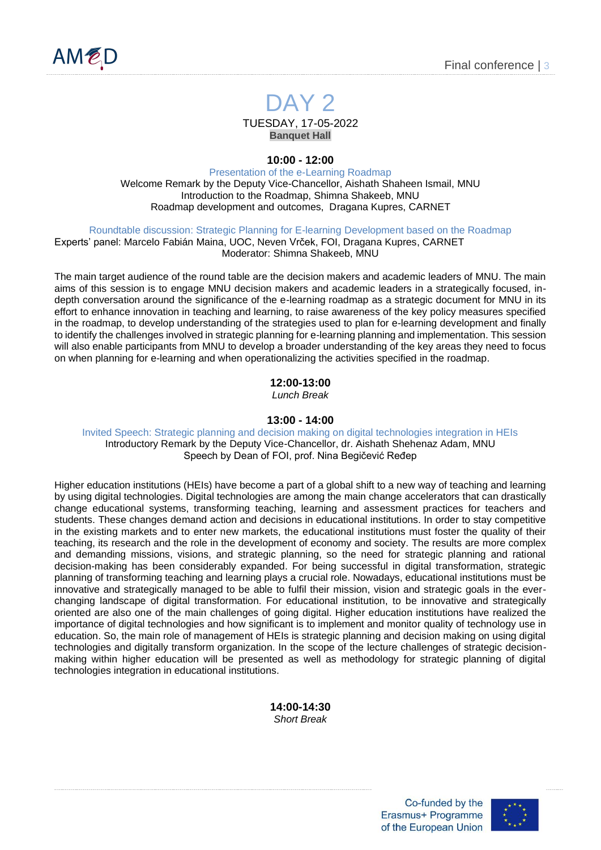



**Banquet Hall**

**10:00 - 12:00**

<span id="page-2-0"></span>Presentation of the e-Learning Roadmap Welcome Remark by the Deputy Vice-Chancellor, Aishath Shaheen Ismail, MNU Introduction to the Roadmap, Shimna Shakeeb, MNU Roadmap development and outcomes, Dragana Kupres, CARNET

<span id="page-2-1"></span>Roundtable discussion: Strategic Planning for E-learning Development based on the Roadmap

<span id="page-2-2"></span>Experts' panel: Marcelo Fabián Maina, UOC, Neven Vrček, FOI, Dragana Kupres, CARNET Moderator: Shimna Shakeeb, MNU

The main target audience of the round table are the decision makers and academic leaders of MNU. The main aims of this session is to engage MNU decision makers and academic leaders in a strategically focused, indepth conversation around the significance of the e-learning roadmap as a strategic document for MNU in its effort to enhance innovation in teaching and learning, to raise awareness of the key policy measures specified in the roadmap, to develop understanding of the strategies used to plan for e-learning development and finally to identify the challenges involved in strategic planning for e-learning planning and implementation. This session will also enable participants from MNU to develop a broader understanding of the key areas they need to focus on when planning for e-learning and when operationalizing the activities specified in the roadmap.

**12:00-13:00**

*Lunch Break*

#### **13:00 - 14:00**

<span id="page-2-3"></span>Invited Speech: Strategic planning and decision making on digital technologies integration in HEIs Introductory Remark by the Deputy Vice-Chancellor, dr. Aishath Shehenaz Adam, MNU Speech by Dean of FOI, prof. Nina Begičević Ređep

Higher education institutions (HEIs) have become a part of a global shift to a new way of teaching and learning by using digital technologies. Digital technologies are among the main change accelerators that can drastically change educational systems, transforming teaching, learning and assessment practices for teachers and students. These changes demand action and decisions in educational institutions. In order to stay competitive in the existing markets and to enter new markets, the educational institutions must foster the quality of their teaching, its research and the role in the development of economy and society. The results are more complex and demanding missions, visions, and strategic planning, so the need for strategic planning and rational decision-making has been considerably expanded. For being successful in digital transformation, strategic planning of transforming teaching and learning plays a crucial role. Nowadays, educational institutions must be innovative and strategically managed to be able to fulfil their mission, vision and strategic goals in the everchanging landscape of digital transformation. For educational institution, to be innovative and strategically oriented are also one of the main challenges of going digital. Higher education institutions have realized the importance of digital technologies and how significant is to implement and monitor quality of technology use in education. So, the main role of management of HEIs is strategic planning and decision making on using digital technologies and digitally transform organization. In the scope of the lecture challenges of strategic decisionmaking within higher education will be presented as well as methodology for strategic planning of digital technologies integration in educational institutions.

> **14:00-14:30** *Short Break*

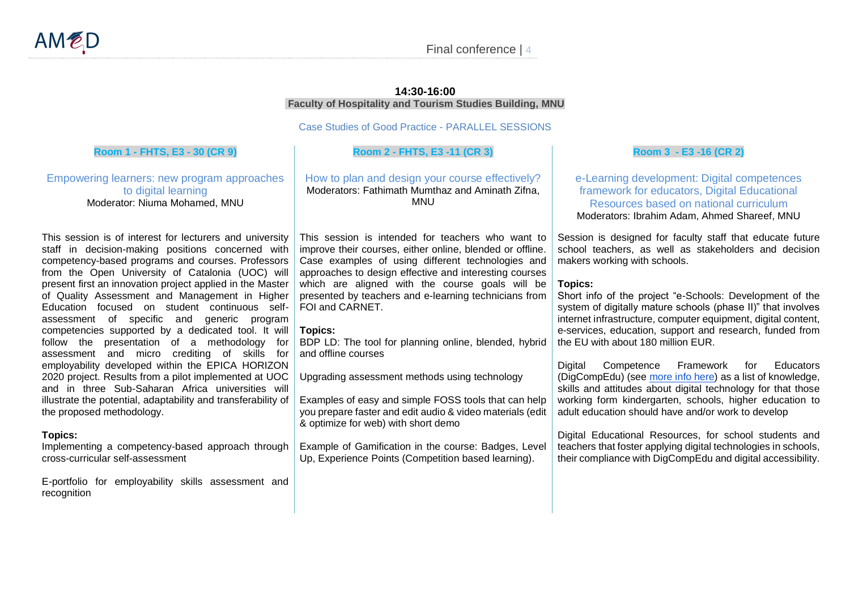## **14:30-16:00 Faculty of Hospitality and Tourism Studies Building, MNU**

Case Studies of Good Practice - PARALLEL SESSIONS

## **Room 1 - FHTS, E3 - 30 (CR 9)**

Empowering learners: new program approaches to digital learning Moderator: Niuma Mohamed, MNU

This session is of interest for lecturers and university staff in decision-making positions concerned with competency-based programs and courses. Professors from the Open University of Catalonia (UOC) will present first an innovation project applied in the Master of Quality Assessment and Management in Higher Education focused on student continuous selfassessment of specific and generic program competencies supported by a dedicated tool. It will follow the presentation of a methodology for assessment and micro crediting of skills for employability developed within the EPICA HORIZON 2020 project. Results from a pilot implemented at UOC and in three Sub-Saharan Africa universities will illustrate the potential, adaptability and transferability of the proposed methodology.

#### <span id="page-3-0"></span>**Topics:**

Implementing a competency-based approach through cross-curricular self-assessment

E-portfolio for employability skills assessment and recognition

#### **Room 2 - FHTS, E3 -11 (CR 3)**

How to plan and design your course effectively? Moderators: Fathimath Mumthaz and Aminath Zifna, MNU

This session is intended for teachers who want to improve their courses, either online, blended or offline. Case examples of using different technologies and approaches to design effective and interesting courses which are aligned with the course goals will be presented by teachers and e-learning technicians from FOI and CARNET.

## **Topics:**

BDP LD: The tool for planning online, blended, hybrid and offline courses

Upgrading assessment methods using technology

Examples of easy and simple FOSS tools that can help you prepare faster and edit audio & video materials (edit & optimize for web) with short demo

Example of Gamification in the course: Badges, Level Up, Experience Points (Competition based learning).

## **Room 3 - E3 -16 (CR 2)**

e-Learning development: Digital competences framework for educators, Digital Educational Resources based on national curriculum Moderators: Ibrahim Adam, Ahmed Shareef, MNU

Session is designed for faculty staff that educate future school teachers, as well as stakeholders and decision makers working with schools.

## **Topics:**

Short info of the project "e-Schools: Development of the system of digitally mature schools (phase II)" that involves internet infrastructure, computer equipment, digital content, e-services, education, support and research, funded from the EU with about 180 million EUR.

Digital Competence Framework for Educators (DigCompEdu) (see [more info here\)](https://joint-research-centre.ec.europa.eu/digcompedu_en) as a list of knowledge, skills and attitudes about digital technology for that those working form kindergarten, schools, higher education to adult education should have and/or work to develop

Digital Educational Resources, for school students and teachers that foster applying digital technologies in schools, their compliance with DigCompEdu and digital accessibility.